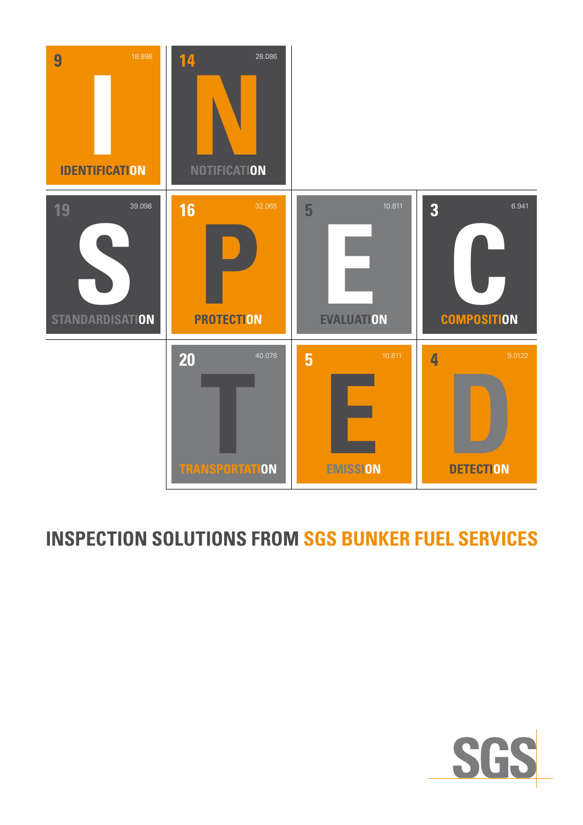

## **INSPECTION SOLUTIONS FROM SGS BUNKER FUEL SERVICES**